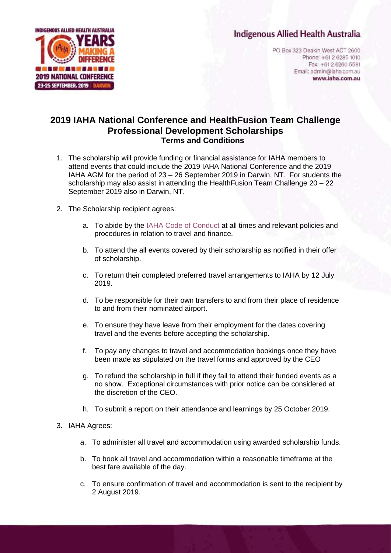## **Indigenous Allied Health Australia**



PO Box 323 Deakin West ACT 2600 Phone: +61 2 6285 1010 Fax: +61 2 6260 5581 Email: admin@iaha.com.au www.iaha.com.au

## **2019 IAHA National Conference and HealthFusion Team Challenge Professional Development Scholarships Terms and Conditions**

- 1. The scholarship will provide funding or financial assistance for IAHA members to attend events that could include the 2019 IAHA National Conference and the 2019 IAHA AGM for the period of 23 – 26 September 2019 in Darwin, NT. For students the scholarship may also assist in attending the HealthFusion Team Challenge 20 – 22 September 2019 also in Darwin, NT.
- 2. The Scholarship recipient agrees:
	- a. To abide by the [IAHA Code of Conduct](http://iaha.com.au/wp-content/uploads/2018/10/Policy-Title-Code-of-Conduct-Final.pdf) at all times and relevant policies and procedures in relation to travel and finance.
	- b. To attend the all events covered by their scholarship as notified in their offer of scholarship.
	- c. To return their completed preferred travel arrangements to IAHA by 12 July 2019.
	- d. To be responsible for their own transfers to and from their place of residence to and from their nominated airport.
	- e. To ensure they have leave from their employment for the dates covering travel and the events before accepting the scholarship.
	- f. To pay any changes to travel and accommodation bookings once they have been made as stipulated on the travel forms and approved by the CEO
	- g. To refund the scholarship in full if they fail to attend their funded events as a no show. Exceptional circumstances with prior notice can be considered at the discretion of the CEO.
	- h. To submit a report on their attendance and learnings by 25 October 2019.
- 3. IAHA Agrees:
	- a. To administer all travel and accommodation using awarded scholarship funds.
	- b. To book all travel and accommodation within a reasonable timeframe at the best fare available of the day.
	- c. To ensure confirmation of travel and accommodation is sent to the recipient by 2 August 2019.